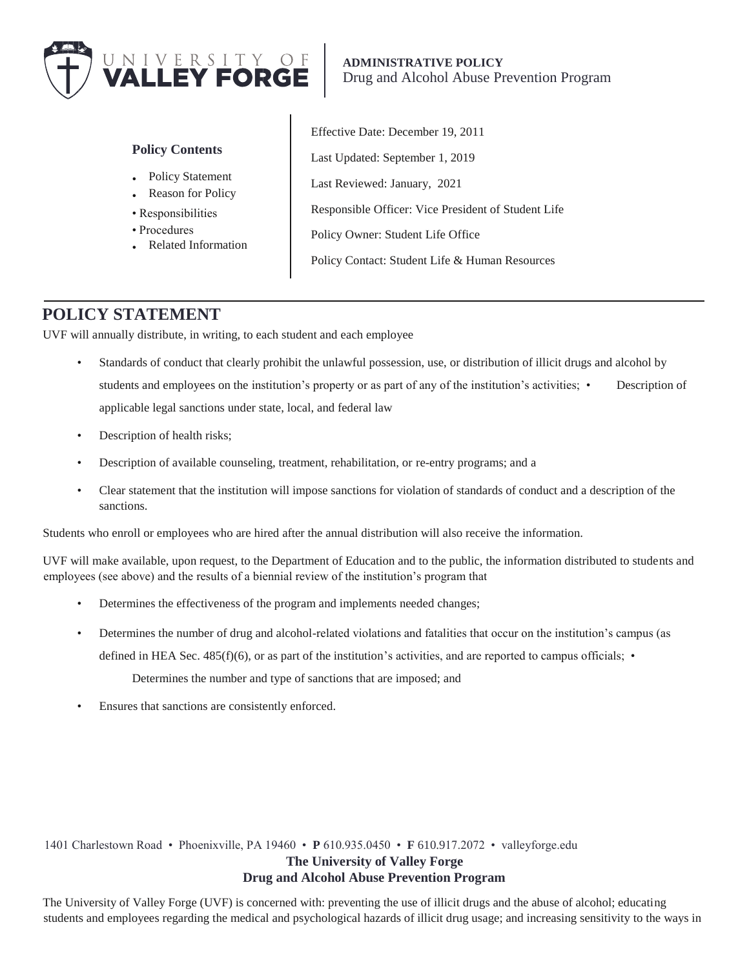

**ADMINISTRATIVE POLICY** Drug and Alcohol Abuse Prevention Program

#### **Policy Contents**

- Policy Statement
- **Reason for Policy**
- Responsibilities
- Procedures
- Related Information

Effective Date: December 19, 2011 Last Updated: September 1, 2019 Last Reviewed: January, 2021 Responsible Officer: Vice President of Student Life Policy Owner: Student Life Office Policy Contact: Student Life & Human Resources

# **POLICY STATEMENT**

UVF will annually distribute, in writing, to each student and each employee

- Standards of conduct that clearly prohibit the unlawful possession, use, or distribution of illicit drugs and alcohol by students and employees on the institution's property or as part of any of the institution's activities; • Description of applicable legal sanctions under state, local, and federal law
- Description of health risks;
- Description of available counseling, treatment, rehabilitation, or re-entry programs; and a
- Clear statement that the institution will impose sanctions for violation of standards of conduct and a description of the sanctions.

Students who enroll or employees who are hired after the annual distribution will also receive the information.

UVF will make available, upon request, to the Department of Education and to the public, the information distributed to students and employees (see above) and the results of a biennial review of the institution's program that

- Determines the effectiveness of the program and implements needed changes;
- Determines the number of drug and alcohol-related violations and fatalities that occur on the institution's campus (as defined in HEA Sec. 485(f)(6), or as part of the institution's activities, and are reported to campus officials;  $\bullet$

Determines the number and type of sanctions that are imposed; and

Ensures that sanctions are consistently enforced.

1401 Charlestown Road • Phoenixville, PA 19460 • **P** 610.935.0450 • **F** 610.917.2072 • valleyforge.edu **The University of Valley Forge** 

### **Drug and Alcohol Abuse Prevention Program**

The University of Valley Forge (UVF) is concerned with: preventing the use of illicit drugs and the abuse of alcohol; educating students and employees regarding the medical and psychological hazards of illicit drug usage; and increasing sensitivity to the ways in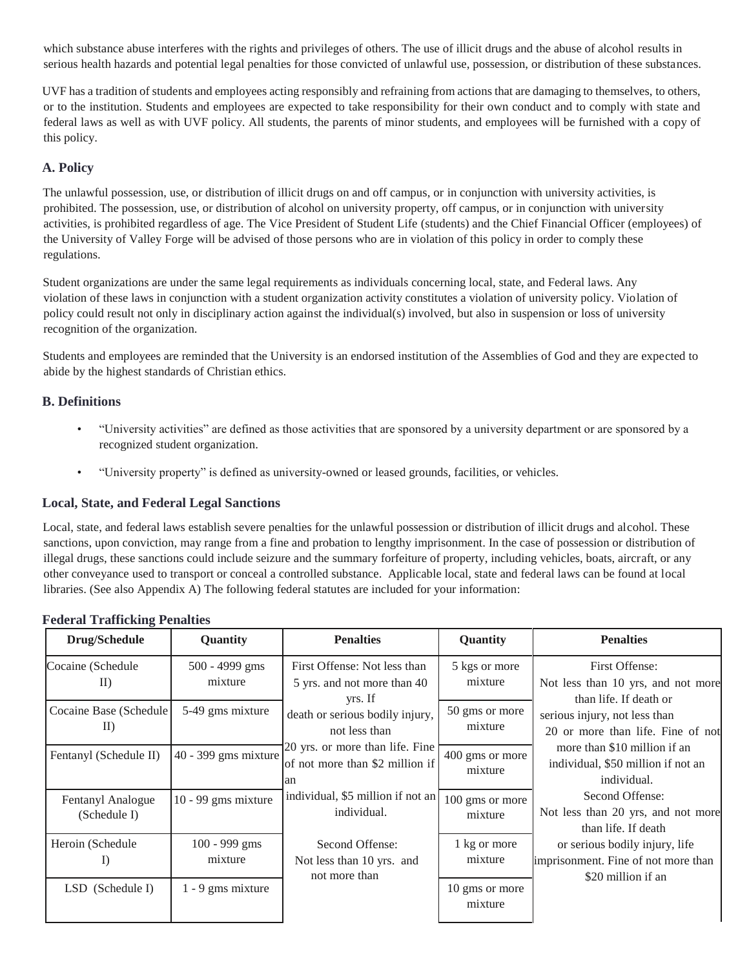which substance abuse interferes with the rights and privileges of others. The use of illicit drugs and the abuse of alcohol results in serious health hazards and potential legal penalties for those convicted of unlawful use, possession, or distribution of these substances.

UVF has a tradition of students and employees acting responsibly and refraining from actions that are damaging to themselves, to others, or to the institution. Students and employees are expected to take responsibility for their own conduct and to comply with state and federal laws as well as with UVF policy. All students, the parents of minor students, and employees will be furnished with a copy of this policy.

### **A. Policy**

The unlawful possession, use, or distribution of illicit drugs on and off campus, or in conjunction with university activities, is prohibited. The possession, use, or distribution of alcohol on university property, off campus, or in conjunction with university activities, is prohibited regardless of age. The Vice President of Student Life (students) and the Chief Financial Officer (employees) of the University of Valley Forge will be advised of those persons who are in violation of this policy in order to comply these regulations.

Student organizations are under the same legal requirements as individuals concerning local, state, and Federal laws. Any violation of these laws in conjunction with a student organization activity constitutes a violation of university policy. Violation of policy could result not only in disciplinary action against the individual(s) involved, but also in suspension or loss of university recognition of the organization.

Students and employees are reminded that the University is an endorsed institution of the Assemblies of God and they are expected to abide by the highest standards of Christian ethics.

### **B. Definitions**

- "University activities" are defined as those activities that are sponsored by a university department or are sponsored by a recognized student organization.
- "University property" is defined as university-owned or leased grounds, facilities, or vehicles.

#### **Local, State, and Federal Legal Sanctions**

Local, state, and federal laws establish severe penalties for the unlawful possession or distribution of illicit drugs and alcohol. These sanctions, upon conviction, may range from a fine and probation to lengthy imprisonment. In the case of possession or distribution of illegal drugs, these sanctions could include seizure and the summary forfeiture of property, including vehicles, boats, aircraft, or any other conveyance used to transport or conceal a controlled substance. Applicable local, state and federal laws can be found at local libraries. (See also Appendix A) The following federal statutes are included for your information:

| <b>Drug/Schedule</b>                                                         | <b>Quantity</b>             | <b>Penalties</b>                                                         | Quantity                   | <b>Penalties</b>                                                                            |
|------------------------------------------------------------------------------|-----------------------------|--------------------------------------------------------------------------|----------------------------|---------------------------------------------------------------------------------------------|
| Cocaine (Schedule<br>$\mathbf{I}$                                            | $500 - 4999$ gms<br>mixture | First Offense: Not less than<br>5 yrs. and not more than 40<br>yrs. If   | 5 kgs or more<br>mixture   | First Offense:<br>Not less than 10 yrs, and not more<br>than life. If death or              |
| Cocaine Base (Schedule)<br>$\vert \hspace{.04cm} \vert \hspace{.04cm} \vert$ | 5-49 gms mixture            | death or serious bodily injury,<br>not less than                         | 50 gms or more<br>mixture  | serious injury, not less than<br>20 or more than life. Fine of not                          |
| Fentanyl (Schedule II)                                                       | $40 - 399$ gms mixture      | 20 yrs. or more than life. Fine<br>of not more than \$2 million if<br>an | 400 gms or more<br>mixture | more than \$10 million if an<br>individual, \$50 million if not an<br>individual.           |
| Fentanyl Analogue<br>(Schedule I)                                            | $10 - 99$ gms mixture       | individual, \$5 million if not an<br>individual.                         | 100 gms or more<br>mixture | Second Offense:<br>Not less than 20 yrs, and not more<br>than life. If death                |
| Heroin (Schedule)<br>$_{\text{1}}$                                           | $100 - 999$ gms<br>mixture  | Second Offense:<br>Not less than 10 yrs. and<br>not more than            | 1 kg or more<br>mixture    | or serious bodily injury, life<br>imprisonment. Fine of not more than<br>\$20 million if an |
| LSD (Schedule I)                                                             | $1 - 9$ gms mixture         |                                                                          | 10 gms or more<br>mixture  |                                                                                             |

### **Federal Trafficking Penalties**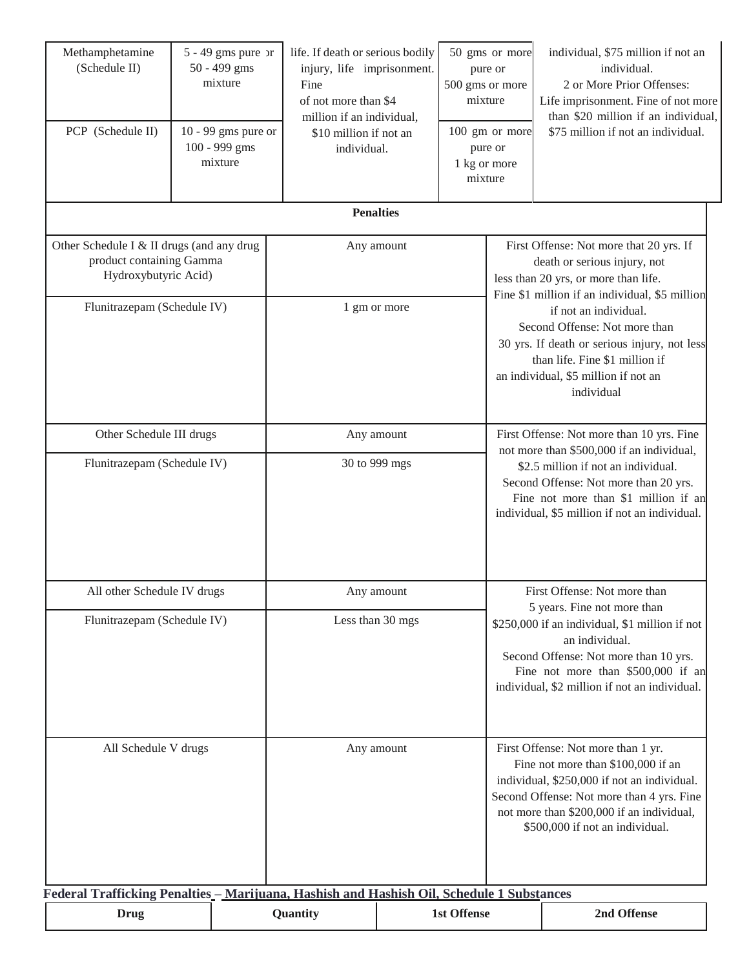| Methamphetamine<br>(Schedule II)<br>PCP (Schedule II)                                         | $5 - 49$ gms pure or<br>50 - 499 gms<br>mixture<br>$10 - 99$ gms pure or<br>100 - 999 gms<br>mixture | life. If death or serious bodily<br>injury, life imprisonment.<br>Fine<br>of not more than \$4<br>million if an individual,<br>\$10 million if not an<br>individual. |                                                                                                                                                              | 50 gms or more<br>pure or<br>500 gms or more<br>mixture<br>100 gm or more<br>pure or<br>1 kg or more<br>mixture                                                                                                                                                 |                                                                                                                                                                                                                                                      | individual, \$75 million if not an<br>individual.<br>2 or More Prior Offenses:<br>Life imprisonment. Fine of not more<br>than \$20 million if an individual,<br>\$75 million if not an individual.                                               |  |
|-----------------------------------------------------------------------------------------------|------------------------------------------------------------------------------------------------------|----------------------------------------------------------------------------------------------------------------------------------------------------------------------|--------------------------------------------------------------------------------------------------------------------------------------------------------------|-----------------------------------------------------------------------------------------------------------------------------------------------------------------------------------------------------------------------------------------------------------------|------------------------------------------------------------------------------------------------------------------------------------------------------------------------------------------------------------------------------------------------------|--------------------------------------------------------------------------------------------------------------------------------------------------------------------------------------------------------------------------------------------------|--|
|                                                                                               |                                                                                                      |                                                                                                                                                                      | <b>Penalties</b>                                                                                                                                             |                                                                                                                                                                                                                                                                 |                                                                                                                                                                                                                                                      |                                                                                                                                                                                                                                                  |  |
| Other Schedule I & II drugs (and any drug<br>product containing Gamma<br>Hydroxybutyric Acid) |                                                                                                      | Any amount                                                                                                                                                           |                                                                                                                                                              | First Offense: Not more that 20 yrs. If<br>death or serious injury, not<br>less than 20 yrs, or more than life.                                                                                                                                                 |                                                                                                                                                                                                                                                      |                                                                                                                                                                                                                                                  |  |
| Flunitrazepam (Schedule IV)                                                                   |                                                                                                      |                                                                                                                                                                      | 1 gm or more                                                                                                                                                 |                                                                                                                                                                                                                                                                 |                                                                                                                                                                                                                                                      | Fine \$1 million if an individual, \$5 million<br>if not an individual.<br>Second Offense: Not more than<br>30 yrs. If death or serious injury, not less<br>than life. Fine \$1 million if<br>an individual, \$5 million if not an<br>individual |  |
| Other Schedule III drugs<br>Flunitrazepam (Schedule IV)                                       |                                                                                                      | Any amount<br>30 to 999 mgs                                                                                                                                          |                                                                                                                                                              | First Offense: Not more than 10 yrs. Fine<br>not more than \$500,000 if an individual,<br>\$2.5 million if not an individual.<br>Second Offense: Not more than 20 yrs.<br>Fine not more than \$1 million if an<br>individual, \$5 million if not an individual. |                                                                                                                                                                                                                                                      |                                                                                                                                                                                                                                                  |  |
| All other Schedule IV drugs                                                                   |                                                                                                      |                                                                                                                                                                      | Any amount                                                                                                                                                   |                                                                                                                                                                                                                                                                 | First Offense: Not more than                                                                                                                                                                                                                         |                                                                                                                                                                                                                                                  |  |
| Flunitrazepam (Schedule IV)                                                                   |                                                                                                      |                                                                                                                                                                      | 5 years. Fine not more than<br>Less than 30 mgs<br>\$250,000 if an individual, \$1 million if not<br>an individual.<br>Second Offense: Not more than 10 yrs. |                                                                                                                                                                                                                                                                 | Fine not more than \$500,000 if an<br>individual, \$2 million if not an individual.                                                                                                                                                                  |                                                                                                                                                                                                                                                  |  |
| All Schedule V drugs                                                                          |                                                                                                      |                                                                                                                                                                      | Any amount                                                                                                                                                   |                                                                                                                                                                                                                                                                 | First Offense: Not more than 1 yr.<br>Fine not more than \$100,000 if an<br>individual, \$250,000 if not an individual.<br>Second Offense: Not more than 4 yrs. Fine<br>not more than \$200,000 if an individual,<br>\$500,000 if not an individual. |                                                                                                                                                                                                                                                  |  |
| Federal Trafficking Penalties - Marijuana, Hashish and Hashish Oil, Schedule 1 Substances     |                                                                                                      |                                                                                                                                                                      |                                                                                                                                                              | <b>1st Offense</b>                                                                                                                                                                                                                                              |                                                                                                                                                                                                                                                      | 2nd Offense                                                                                                                                                                                                                                      |  |
| Drug                                                                                          |                                                                                                      | Quantity                                                                                                                                                             |                                                                                                                                                              |                                                                                                                                                                                                                                                                 |                                                                                                                                                                                                                                                      |                                                                                                                                                                                                                                                  |  |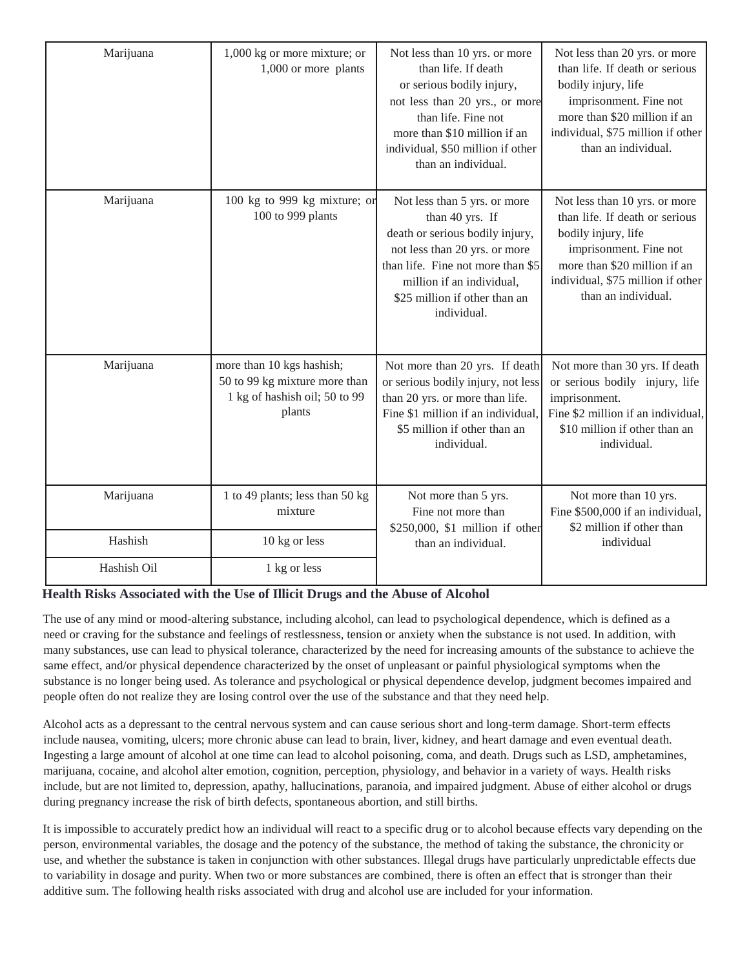| Marijuana   | 1,000 kg or more mixture; or<br>1,000 or more plants                                                  | Not less than 10 yrs. or more<br>than life. If death<br>or serious bodily injury,<br>not less than 20 yrs., or more<br>than life. Fine not<br>more than \$10 million if an<br>individual, \$50 million if other<br>than an individual. | Not less than 20 yrs. or more<br>than life. If death or serious<br>bodily injury, life<br>imprisonment. Fine not<br>more than \$20 million if an<br>individual, \$75 million if other<br>than an individual. |
|-------------|-------------------------------------------------------------------------------------------------------|----------------------------------------------------------------------------------------------------------------------------------------------------------------------------------------------------------------------------------------|--------------------------------------------------------------------------------------------------------------------------------------------------------------------------------------------------------------|
| Marijuana   | 100 kg to 999 kg mixture; or<br>100 to 999 plants                                                     | Not less than 5 yrs. or more<br>than 40 yrs. If<br>death or serious bodily injury,<br>not less than 20 yrs. or more<br>than life. Fine not more than \$5<br>million if an individual,<br>\$25 million if other than an<br>individual.  | Not less than 10 yrs. or more<br>than life. If death or serious<br>bodily injury, life<br>imprisonment. Fine not<br>more than \$20 million if an<br>individual, \$75 million if other<br>than an individual. |
| Marijuana   | more than 10 kgs hashish;<br>50 to 99 kg mixture more than<br>1 kg of hashish oil; 50 to 99<br>plants | Not more than 20 yrs. If death<br>or serious bodily injury, not less<br>than 20 yrs. or more than life.<br>Fine \$1 million if an individual,<br>\$5 million if other than an<br>individual.                                           | Not more than 30 yrs. If death<br>or serious bodily injury, life<br>imprisonment.<br>Fine \$2 million if an individual,<br>\$10 million if other than an<br>individual.                                      |
| Marijuana   | 1 to 49 plants; less than 50 kg<br>mixture                                                            | Not more than 5 yrs.<br>Fine not more than<br>\$250,000, \$1 million if other                                                                                                                                                          | Not more than 10 yrs.<br>Fine \$500,000 if an individual,<br>\$2 million if other than                                                                                                                       |
| Hashish     | 10 kg or less                                                                                         | than an individual.                                                                                                                                                                                                                    | individual                                                                                                                                                                                                   |
| Hashish Oil | 1 kg or less                                                                                          |                                                                                                                                                                                                                                        |                                                                                                                                                                                                              |

### **Health Risks Associated with the Use of Illicit Drugs and the Abuse of Alcohol**

The use of any mind or mood-altering substance, including alcohol, can lead to psychological dependence, which is defined as a need or craving for the substance and feelings of restlessness, tension or anxiety when the substance is not used. In addition, with many substances, use can lead to physical tolerance, characterized by the need for increasing amounts of the substance to achieve the same effect, and/or physical dependence characterized by the onset of unpleasant or painful physiological symptoms when the substance is no longer being used. As tolerance and psychological or physical dependence develop, judgment becomes impaired and people often do not realize they are losing control over the use of the substance and that they need help.

Alcohol acts as a depressant to the central nervous system and can cause serious short and long-term damage. Short-term effects include nausea, vomiting, ulcers; more chronic abuse can lead to brain, liver, kidney, and heart damage and even eventual death. Ingesting a large amount of alcohol at one time can lead to alcohol poisoning, coma, and death. Drugs such as LSD, amphetamines, marijuana, cocaine, and alcohol alter emotion, cognition, perception, physiology, and behavior in a variety of ways. Health risks include, but are not limited to, depression, apathy, hallucinations, paranoia, and impaired judgment. Abuse of either alcohol or drugs during pregnancy increase the risk of birth defects, spontaneous abortion, and still births.

It is impossible to accurately predict how an individual will react to a specific drug or to alcohol because effects vary depending on the person, environmental variables, the dosage and the potency of the substance, the method of taking the substance, the chronicity or use, and whether the substance is taken in conjunction with other substances. Illegal drugs have particularly unpredictable effects due to variability in dosage and purity. When two or more substances are combined, there is often an effect that is stronger than their additive sum. The following health risks associated with drug and alcohol use are included for your information.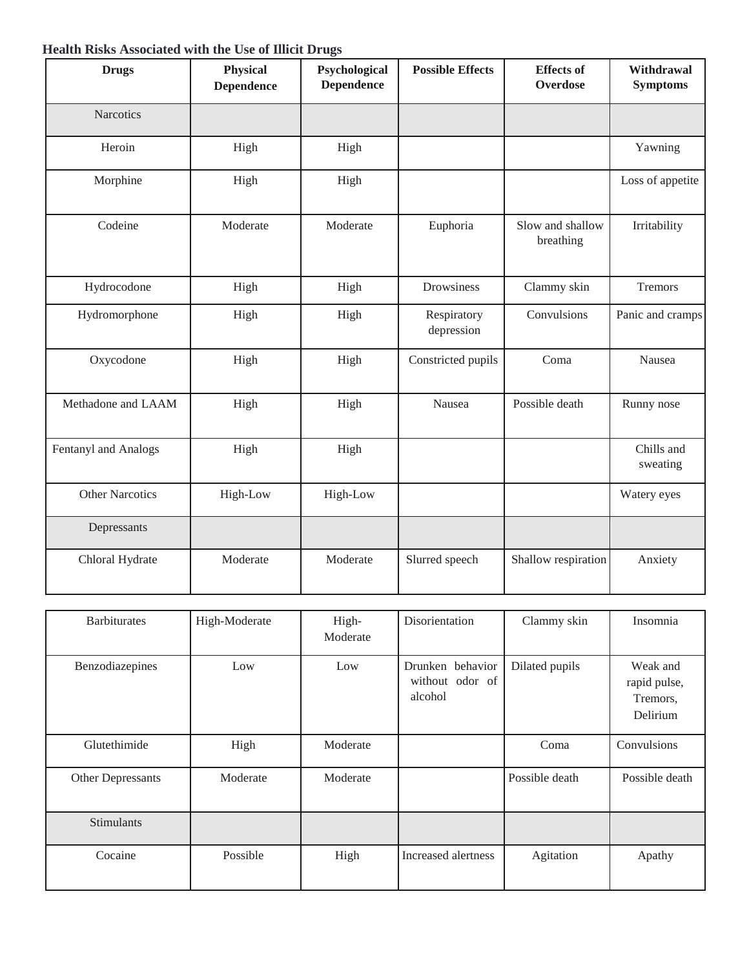## **Health Risks Associated with the Use of Illicit Drugs**

| <b>Drugs</b>           | <b>Physical</b><br><b>Dependence</b> | Psychological<br><b>Dependence</b> | <b>Possible Effects</b>   | <b>Effects</b> of<br>Overdose | Withdrawal<br><b>Symptoms</b> |
|------------------------|--------------------------------------|------------------------------------|---------------------------|-------------------------------|-------------------------------|
| Narcotics              |                                      |                                    |                           |                               |                               |
| Heroin                 | High                                 | High                               |                           |                               | Yawning                       |
| Morphine               | High                                 | High                               |                           |                               | Loss of appetite              |
| Codeine                | Moderate                             | Moderate                           | Euphoria                  | Slow and shallow<br>breathing | Irritability                  |
| Hydrocodone            | High                                 | High                               | Drowsiness                | Clammy skin                   | Tremors                       |
| Hydromorphone          | High                                 | High                               | Respiratory<br>depression | Convulsions                   | Panic and cramps              |
| Oxycodone              | High                                 | High                               | Constricted pupils        | Coma                          | Nausea                        |
| Methadone and LAAM     | High                                 | High                               | Nausea                    | Possible death                | Runny nose                    |
| Fentanyl and Analogs   | High                                 | High                               |                           |                               | Chills and<br>sweating        |
| <b>Other Narcotics</b> | High-Low                             | High-Low                           |                           |                               | Watery eyes                   |
| Depressants            |                                      |                                    |                           |                               |                               |
| Chloral Hydrate        | Moderate                             | Moderate                           | Slurred speech            | Shallow respiration           | Anxiety                       |

| <b>Barbiturates</b> | High-Moderate | High-<br>Moderate | Disorientation                                 | Clammy skin    | Insomnia                                         |
|---------------------|---------------|-------------------|------------------------------------------------|----------------|--------------------------------------------------|
| Benzodiazepines     | Low           | Low               | Drunken behavior<br>without odor of<br>alcohol | Dilated pupils | Weak and<br>rapid pulse,<br>Tremors,<br>Delirium |
| Glutethimide        | High          | Moderate          |                                                | Coma           | Convulsions                                      |
| Other Depressants   | Moderate      | Moderate          |                                                | Possible death | Possible death                                   |
| <b>Stimulants</b>   |               |                   |                                                |                |                                                  |
| Cocaine             | Possible      | High              | Increased alertness                            | Agitation      | Apathy                                           |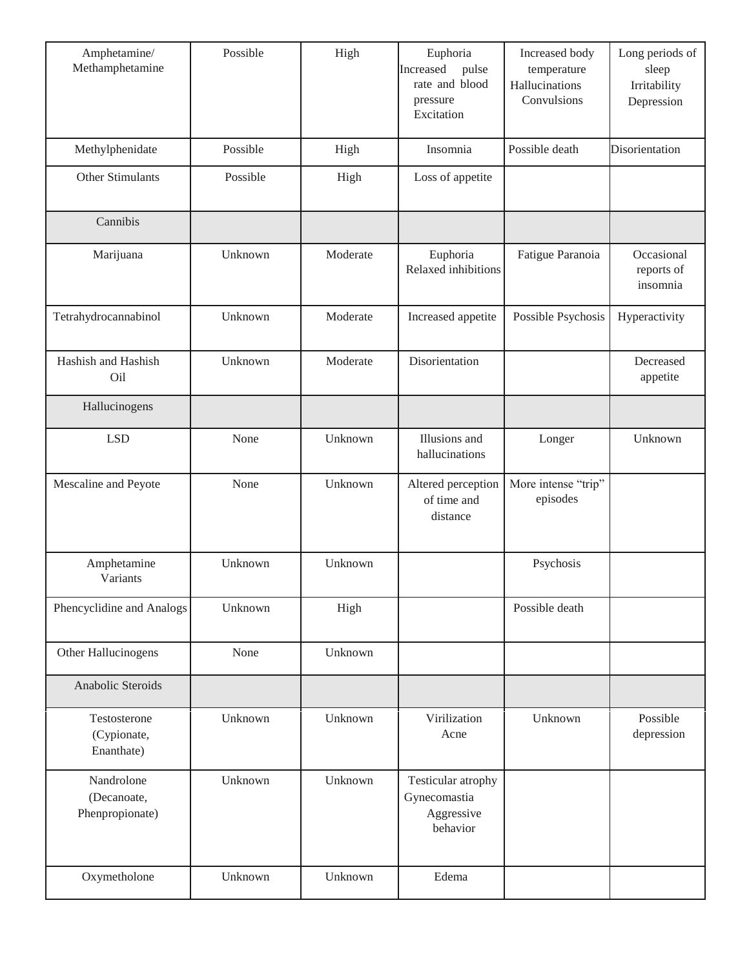| Amphetamine/<br>Methamphetamine              | Possible | High     | Euphoria<br>Increased<br>pulse<br>rate and blood<br>pressure<br>Excitation | Increased body<br>temperature<br>Hallucinations<br>Convulsions | Long periods of<br>sleep<br>Irritability<br>Depression |
|----------------------------------------------|----------|----------|----------------------------------------------------------------------------|----------------------------------------------------------------|--------------------------------------------------------|
| Methylphenidate                              | Possible | High     | Insomnia                                                                   | Possible death                                                 | Disorientation                                         |
| Other Stimulants                             | Possible | High     | Loss of appetite                                                           |                                                                |                                                        |
| Cannibis                                     |          |          |                                                                            |                                                                |                                                        |
| Marijuana                                    | Unknown  | Moderate | Euphoria<br>Relaxed inhibitions                                            | Fatigue Paranoia                                               | Occasional<br>reports of<br>insomnia                   |
| Tetrahydrocannabinol                         | Unknown  | Moderate | Increased appetite                                                         | Possible Psychosis                                             | Hyperactivity                                          |
| Hashish and Hashish<br>Oil                   | Unknown  | Moderate | Disorientation                                                             |                                                                | Decreased<br>appetite                                  |
| Hallucinogens                                |          |          |                                                                            |                                                                |                                                        |
| <b>LSD</b>                                   | None     | Unknown  | Illusions and<br>hallucinations                                            | Longer                                                         | Unknown                                                |
| Mescaline and Peyote                         | None     | Unknown  | Altered perception<br>of time and<br>distance                              | More intense "trip"<br>episodes                                |                                                        |
| Amphetamine<br>Variants                      | Unknown  | Unknown  |                                                                            | Psychosis                                                      |                                                        |
| Phencyclidine and Analogs                    | Unknown  | High     |                                                                            | Possible death                                                 |                                                        |
| Other Hallucinogens                          | None     | Unknown  |                                                                            |                                                                |                                                        |
| Anabolic Steroids                            |          |          |                                                                            |                                                                |                                                        |
| Testosterone<br>(Cypionate,<br>Enanthate)    | Unknown  | Unknown  | Virilization<br>Acne                                                       | Unknown                                                        | Possible<br>depression                                 |
| Nandrolone<br>(Decanoate,<br>Phenpropionate) | Unknown  | Unknown  | Testicular atrophy<br>Gynecomastia<br>Aggressive<br>behavior               |                                                                |                                                        |
| Oxymetholone                                 | Unknown  | Unknown  | Edema                                                                      |                                                                |                                                        |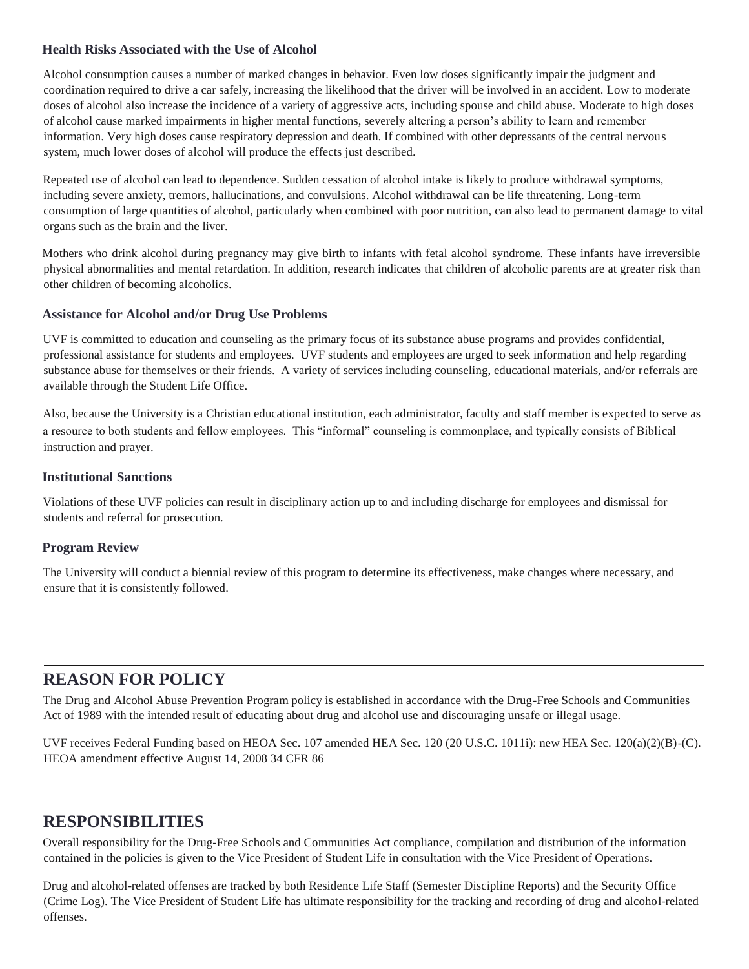### **Health Risks Associated with the Use of Alcohol**

Alcohol consumption causes a number of marked changes in behavior. Even low doses significantly impair the judgment and coordination required to drive a car safely, increasing the likelihood that the driver will be involved in an accident. Low to moderate doses of alcohol also increase the incidence of a variety of aggressive acts, including spouse and child abuse. Moderate to high doses of alcohol cause marked impairments in higher mental functions, severely altering a person's ability to learn and remember information. Very high doses cause respiratory depression and death. If combined with other depressants of the central nervous system, much lower doses of alcohol will produce the effects just described.

Repeated use of alcohol can lead to dependence. Sudden cessation of alcohol intake is likely to produce withdrawal symptoms, including severe anxiety, tremors, hallucinations, and convulsions. Alcohol withdrawal can be life threatening. Long-term consumption of large quantities of alcohol, particularly when combined with poor nutrition, can also lead to permanent damage to vital organs such as the brain and the liver.

Mothers who drink alcohol during pregnancy may give birth to infants with fetal alcohol syndrome. These infants have irreversible physical abnormalities and mental retardation. In addition, research indicates that children of alcoholic parents are at greater risk than other children of becoming alcoholics.

#### **Assistance for Alcohol and/or Drug Use Problems**

UVF is committed to education and counseling as the primary focus of its substance abuse programs and provides confidential, professional assistance for students and employees. UVF students and employees are urged to seek information and help regarding substance abuse for themselves or their friends. A variety of services including counseling, educational materials, and/or referrals are available through the Student Life Office.

Also, because the University is a Christian educational institution, each administrator, faculty and staff member is expected to serve as a resource to both students and fellow employees. This "informal" counseling is commonplace, and typically consists of Biblical instruction and prayer.

#### **Institutional Sanctions**

Violations of these UVF policies can result in disciplinary action up to and including discharge for employees and dismissal for students and referral for prosecution.

### **Program Review**

The University will conduct a biennial review of this program to determine its effectiveness, make changes where necessary, and ensure that it is consistently followed.

# **REASON FOR POLICY**

The Drug and Alcohol Abuse Prevention Program policy is established in accordance with the Drug-Free Schools and Communities Act of 1989 with the intended result of educating about drug and alcohol use and discouraging unsafe or illegal usage.

UVF receives Federal Funding based on HEOA Sec. 107 amended HEA Sec. 120 (20 U.S.C. 1011i): new HEA Sec. 120(a)(2)(B)-(C). HEOA amendment effective August 14, 2008 34 CFR 86

## **RESPONSIBILITIES**

Overall responsibility for the Drug-Free Schools and Communities Act compliance, compilation and distribution of the information contained in the policies is given to the Vice President of Student Life in consultation with the Vice President of Operations.

Drug and alcohol-related offenses are tracked by both Residence Life Staff (Semester Discipline Reports) and the Security Office (Crime Log). The Vice President of Student Life has ultimate responsibility for the tracking and recording of drug and alcohol-related offenses.